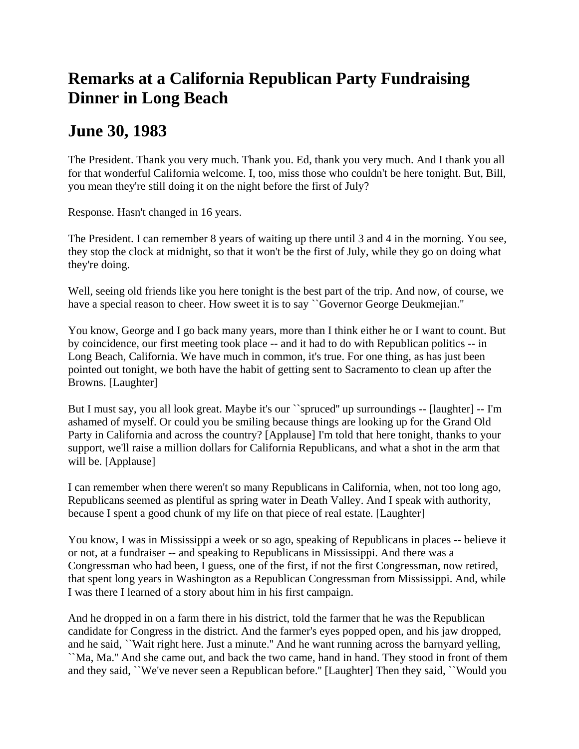## **Remarks at a California Republican Party Fundraising Dinner in Long Beach**

## **June 30, 1983**

The President. Thank you very much. Thank you. Ed, thank you very much. And I thank you all for that wonderful California welcome. I, too, miss those who couldn't be here tonight. But, Bill, you mean they're still doing it on the night before the first of July?

Response. Hasn't changed in 16 years.

The President. I can remember 8 years of waiting up there until 3 and 4 in the morning. You see, they stop the clock at midnight, so that it won't be the first of July, while they go on doing what they're doing.

Well, seeing old friends like you here tonight is the best part of the trip. And now, of course, we have a special reason to cheer. How sweet it is to say ``Governor George Deukmejian.''

You know, George and I go back many years, more than I think either he or I want to count. But by coincidence, our first meeting took place -- and it had to do with Republican politics -- in Long Beach, California. We have much in common, it's true. For one thing, as has just been pointed out tonight, we both have the habit of getting sent to Sacramento to clean up after the Browns. [Laughter]

But I must say, you all look great. Maybe it's our ``spruced'' up surroundings -- [laughter] -- I'm ashamed of myself. Or could you be smiling because things are looking up for the Grand Old Party in California and across the country? [Applause] I'm told that here tonight, thanks to your support, we'll raise a million dollars for California Republicans, and what a shot in the arm that will be. [Applause]

I can remember when there weren't so many Republicans in California, when, not too long ago, Republicans seemed as plentiful as spring water in Death Valley. And I speak with authority, because I spent a good chunk of my life on that piece of real estate. [Laughter]

You know, I was in Mississippi a week or so ago, speaking of Republicans in places -- believe it or not, at a fundraiser -- and speaking to Republicans in Mississippi. And there was a Congressman who had been, I guess, one of the first, if not the first Congressman, now retired, that spent long years in Washington as a Republican Congressman from Mississippi. And, while I was there I learned of a story about him in his first campaign.

And he dropped in on a farm there in his district, told the farmer that he was the Republican candidate for Congress in the district. And the farmer's eyes popped open, and his jaw dropped, and he said, ``Wait right here. Just a minute.'' And he want running across the barnyard yelling, ``Ma, Ma.'' And she came out, and back the two came, hand in hand. They stood in front of them

and they said, ``We've never seen a Republican before.'' [Laughter] Then they said, ``Would you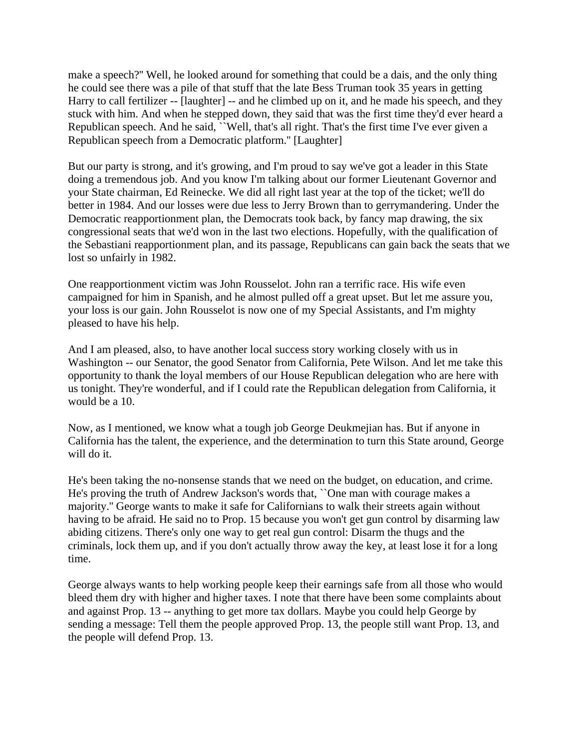make a speech?'' Well, he looked around for something that could be a dais, and the only thing he could see there was a pile of that stuff that the late Bess Truman took 35 years in getting Harry to call fertilizer -- [laughter] -- and he climbed up on it, and he made his speech, and they stuck with him. And when he stepped down, they said that was the first time they'd ever heard a Republican speech. And he said, Well, that's all right. That's the first time I've ever given a Republican speech from a Democratic platform.'' [Laughter]

But our party is strong, and it's growing, and I'm proud to say we've got a leader in this State doing a tremendous job. And you know I'm talking about our former Lieutenant Governor and your State chairman, Ed Reinecke. We did all right last year at the top of the ticket; we'll do better in 1984. And our losses were due less to Jerry Brown than to gerrymandering. Under the Democratic reapportionment plan, the Democrats took back, by fancy map drawing, the six congressional seats that we'd won in the last two elections. Hopefully, with the qualification of the Sebastiani reapportionment plan, and its passage, Republicans can gain back the seats that we lost so unfairly in 1982.

One reapportionment victim was John Rousselot. John ran a terrific race. His wife even campaigned for him in Spanish, and he almost pulled off a great upset. But let me assure you, your loss is our gain. John Rousselot is now one of my Special Assistants, and I'm mighty pleased to have his help.

And I am pleased, also, to have another local success story working closely with us in Washington -- our Senator, the good Senator from California, Pete Wilson. And let me take this opportunity to thank the loyal members of our House Republican delegation who are here with us tonight. They're wonderful, and if I could rate the Republican delegation from California, it would be a 10.

Now, as I mentioned, we know what a tough job George Deukmejian has. But if anyone in California has the talent, the experience, and the determination to turn this State around, George will do it.

He's been taking the no-nonsense stands that we need on the budget, on education, and crime. He's proving the truth of Andrew Jackson's words that, ``One man with courage makes a majority.'' George wants to make it safe for Californians to walk their streets again without having to be afraid. He said no to Prop. 15 because you won't get gun control by disarming law abiding citizens. There's only one way to get real gun control: Disarm the thugs and the criminals, lock them up, and if you don't actually throw away the key, at least lose it for a long time.

George always wants to help working people keep their earnings safe from all those who would bleed them dry with higher and higher taxes. I note that there have been some complaints about and against Prop. 13 -- anything to get more tax dollars. Maybe you could help George by sending a message: Tell them the people approved Prop. 13, the people still want Prop. 13, and the people will defend Prop. 13.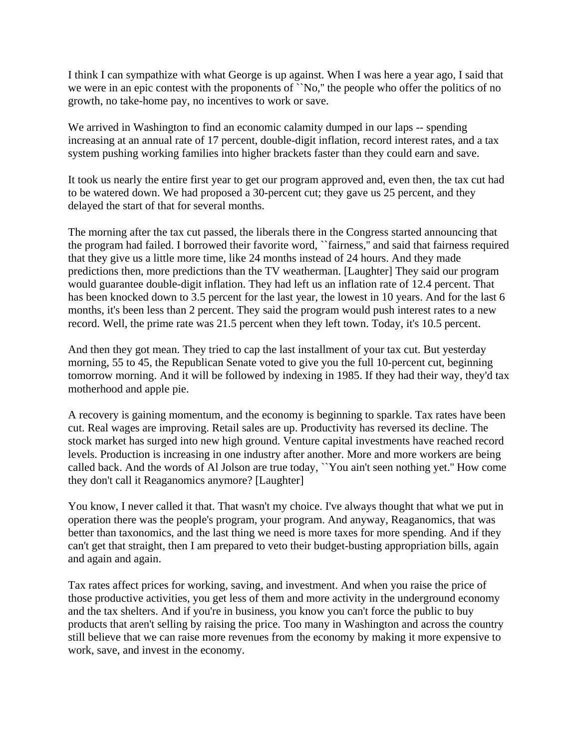I think I can sympathize with what George is up against. When I was here a year ago, I said that we were in an epic contest with the proponents of ``No," the people who offer the politics of no growth, no take-home pay, no incentives to work or save.

We arrived in Washington to find an economic calamity dumped in our laps -- spending increasing at an annual rate of 17 percent, double-digit inflation, record interest rates, and a tax system pushing working families into higher brackets faster than they could earn and save.

It took us nearly the entire first year to get our program approved and, even then, the tax cut had to be watered down. We had proposed a 30-percent cut; they gave us 25 percent, and they delayed the start of that for several months.

The morning after the tax cut passed, the liberals there in the Congress started announcing that the program had failed. I borrowed their favorite word, ``fairness,'' and said that fairness required that they give us a little more time, like 24 months instead of 24 hours. And they made predictions then, more predictions than the TV weatherman. [Laughter] They said our program would guarantee double-digit inflation. They had left us an inflation rate of 12.4 percent. That has been knocked down to 3.5 percent for the last year, the lowest in 10 years. And for the last 6 months, it's been less than 2 percent. They said the program would push interest rates to a new record. Well, the prime rate was 21.5 percent when they left town. Today, it's 10.5 percent.

And then they got mean. They tried to cap the last installment of your tax cut. But yesterday morning, 55 to 45, the Republican Senate voted to give you the full 10-percent cut, beginning tomorrow morning. And it will be followed by indexing in 1985. If they had their way, they'd tax motherhood and apple pie.

A recovery is gaining momentum, and the economy is beginning to sparkle. Tax rates have been cut. Real wages are improving. Retail sales are up. Productivity has reversed its decline. The stock market has surged into new high ground. Venture capital investments have reached record levels. Production is increasing in one industry after another. More and more workers are being called back. And the words of Al Jolson are true today, ``You ain't seen nothing yet.'' How come they don't call it Reaganomics anymore? [Laughter]

You know, I never called it that. That wasn't my choice. I've always thought that what we put in operation there was the people's program, your program. And anyway, Reaganomics, that was better than taxonomics, and the last thing we need is more taxes for more spending. And if they can't get that straight, then I am prepared to veto their budget-busting appropriation bills, again and again and again.

Tax rates affect prices for working, saving, and investment. And when you raise the price of those productive activities, you get less of them and more activity in the underground economy and the tax shelters. And if you're in business, you know you can't force the public to buy products that aren't selling by raising the price. Too many in Washington and across the country still believe that we can raise more revenues from the economy by making it more expensive to work, save, and invest in the economy.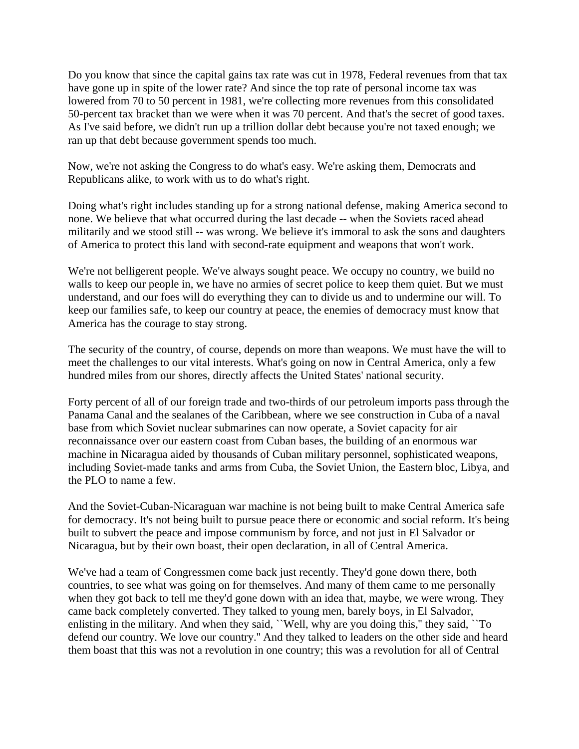Do you know that since the capital gains tax rate was cut in 1978, Federal revenues from that tax have gone up in spite of the lower rate? And since the top rate of personal income tax was lowered from 70 to 50 percent in 1981, we're collecting more revenues from this consolidated 50-percent tax bracket than we were when it was 70 percent. And that's the secret of good taxes. As I've said before, we didn't run up a trillion dollar debt because you're not taxed enough; we ran up that debt because government spends too much.

Now, we're not asking the Congress to do what's easy. We're asking them, Democrats and Republicans alike, to work with us to do what's right.

Doing what's right includes standing up for a strong national defense, making America second to none. We believe that what occurred during the last decade -- when the Soviets raced ahead militarily and we stood still -- was wrong. We believe it's immoral to ask the sons and daughters of America to protect this land with second-rate equipment and weapons that won't work.

We're not belligerent people. We've always sought peace. We occupy no country, we build no walls to keep our people in, we have no armies of secret police to keep them quiet. But we must understand, and our foes will do everything they can to divide us and to undermine our will. To keep our families safe, to keep our country at peace, the enemies of democracy must know that America has the courage to stay strong.

The security of the country, of course, depends on more than weapons. We must have the will to meet the challenges to our vital interests. What's going on now in Central America, only a few hundred miles from our shores, directly affects the United States' national security.

Forty percent of all of our foreign trade and two-thirds of our petroleum imports pass through the Panama Canal and the sealanes of the Caribbean, where we see construction in Cuba of a naval base from which Soviet nuclear submarines can now operate, a Soviet capacity for air reconnaissance over our eastern coast from Cuban bases, the building of an enormous war machine in Nicaragua aided by thousands of Cuban military personnel, sophisticated weapons, including Soviet-made tanks and arms from Cuba, the Soviet Union, the Eastern bloc, Libya, and the PLO to name a few.

And the Soviet-Cuban-Nicaraguan war machine is not being built to make Central America safe for democracy. It's not being built to pursue peace there or economic and social reform. It's being built to subvert the peace and impose communism by force, and not just in El Salvador or Nicaragua, but by their own boast, their open declaration, in all of Central America.

We've had a team of Congressmen come back just recently. They'd gone down there, both countries, to see what was going on for themselves. And many of them came to me personally when they got back to tell me they'd gone down with an idea that, maybe, we were wrong. They came back completely converted. They talked to young men, barely boys, in El Salvador, enlisting in the military. And when they said, ``Well, why are you doing this," they said, ``To defend our country. We love our country.'' And they talked to leaders on the other side and heard them boast that this was not a revolution in one country; this was a revolution for all of Central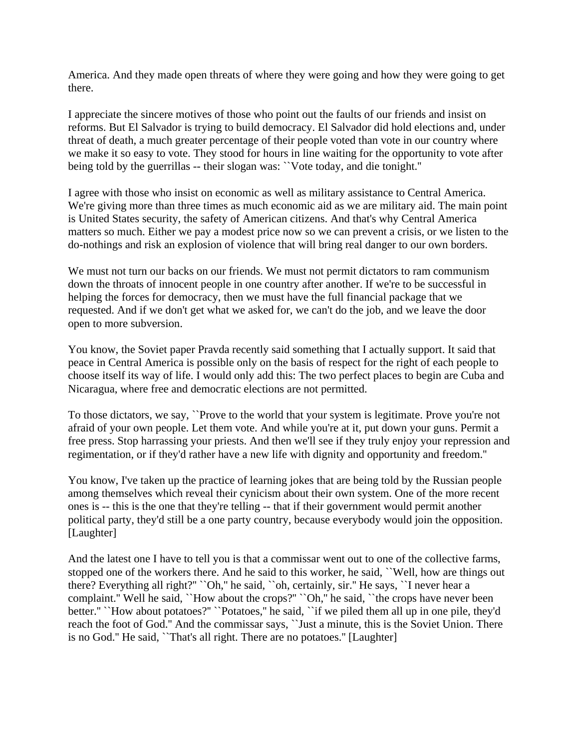America. And they made open threats of where they were going and how they were going to get there.

I appreciate the sincere motives of those who point out the faults of our friends and insist on reforms. But El Salvador is trying to build democracy. El Salvador did hold elections and, under threat of death, a much greater percentage of their people voted than vote in our country where we make it so easy to vote. They stood for hours in line waiting for the opportunity to vote after being told by the guerrillas -- their slogan was: ``Vote today, and die tonight.''

I agree with those who insist on economic as well as military assistance to Central America. We're giving more than three times as much economic aid as we are military aid. The main point is United States security, the safety of American citizens. And that's why Central America matters so much. Either we pay a modest price now so we can prevent a crisis, or we listen to the do-nothings and risk an explosion of violence that will bring real danger to our own borders.

We must not turn our backs on our friends. We must not permit dictators to ram communism down the throats of innocent people in one country after another. If we're to be successful in helping the forces for democracy, then we must have the full financial package that we requested. And if we don't get what we asked for, we can't do the job, and we leave the door open to more subversion.

You know, the Soviet paper Pravda recently said something that I actually support. It said that peace in Central America is possible only on the basis of respect for the right of each people to choose itself its way of life. I would only add this: The two perfect places to begin are Cuba and Nicaragua, where free and democratic elections are not permitted.

To those dictators, we say, ``Prove to the world that your system is legitimate. Prove you're not afraid of your own people. Let them vote. And while you're at it, put down your guns. Permit a free press. Stop harrassing your priests. And then we'll see if they truly enjoy your repression and regimentation, or if they'd rather have a new life with dignity and opportunity and freedom.''

You know, I've taken up the practice of learning jokes that are being told by the Russian people among themselves which reveal their cynicism about their own system. One of the more recent ones is -- this is the one that they're telling -- that if their government would permit another political party, they'd still be a one party country, because everybody would join the opposition. [Laughter]

And the latest one I have to tell you is that a commissar went out to one of the collective farms, stopped one of the workers there. And he said to this worker, he said, ``Well, how are things out there? Everything all right?'' ``Oh,'' he said, ``oh, certainly, sir.'' He says, ``I never hear a complaint." Well he said, "How about the crops?" "Oh," he said, "the crops have never been better.'' ``How about potatoes?'' ``Potatoes,'' he said, ``if we piled them all up in one pile, they'd reach the foot of God.'' And the commissar says, ``Just a minute, this is the Soviet Union. There is no God.'' He said, ``That's all right. There are no potatoes.'' [Laughter]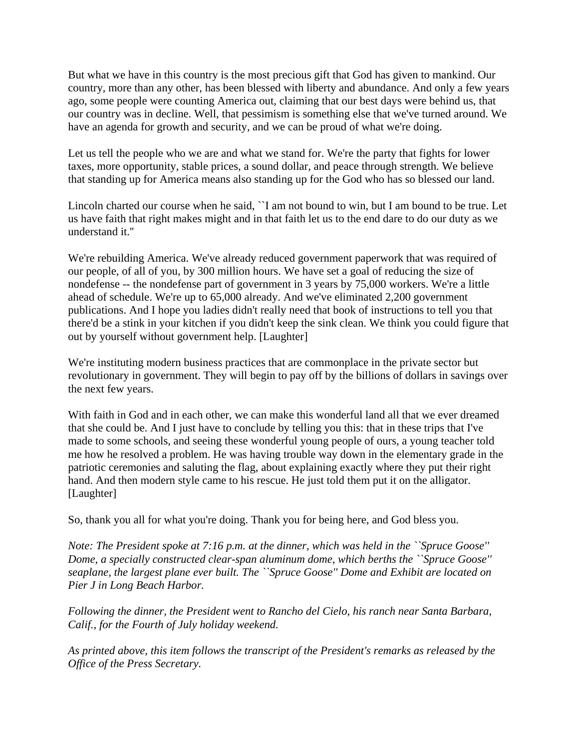But what we have in this country is the most precious gift that God has given to mankind. Our country, more than any other, has been blessed with liberty and abundance. And only a few years ago, some people were counting America out, claiming that our best days were behind us, that our country was in decline. Well, that pessimism is something else that we've turned around. We have an agenda for growth and security, and we can be proud of what we're doing.

Let us tell the people who we are and what we stand for. We're the party that fights for lower taxes, more opportunity, stable prices, a sound dollar, and peace through strength. We believe that standing up for America means also standing up for the God who has so blessed our land.

Lincoln charted our course when he said, ``I am not bound to win, but I am bound to be true. Let us have faith that right makes might and in that faith let us to the end dare to do our duty as we understand it.''

We're rebuilding America. We've already reduced government paperwork that was required of our people, of all of you, by 300 million hours. We have set a goal of reducing the size of nondefense -- the nondefense part of government in 3 years by 75,000 workers. We're a little ahead of schedule. We're up to 65,000 already. And we've eliminated 2,200 government publications. And I hope you ladies didn't really need that book of instructions to tell you that there'd be a stink in your kitchen if you didn't keep the sink clean. We think you could figure that out by yourself without government help. [Laughter]

We're instituting modern business practices that are commonplace in the private sector but revolutionary in government. They will begin to pay off by the billions of dollars in savings over the next few years.

With faith in God and in each other, we can make this wonderful land all that we ever dreamed that she could be. And I just have to conclude by telling you this: that in these trips that I've made to some schools, and seeing these wonderful young people of ours, a young teacher told me how he resolved a problem. He was having trouble way down in the elementary grade in the patriotic ceremonies and saluting the flag, about explaining exactly where they put their right hand. And then modern style came to his rescue. He just told them put it on the alligator. [Laughter]

So, thank you all for what you're doing. Thank you for being here, and God bless you.

*Note: The President spoke at 7:16 p.m. at the dinner, which was held in the ``Spruce Goose'' Dome, a specially constructed clear-span aluminum dome, which berths the ``Spruce Goose'' seaplane, the largest plane ever built. The ``Spruce Goose'' Dome and Exhibit are located on Pier J in Long Beach Harbor.* 

*Following the dinner, the President went to Rancho del Cielo, his ranch near Santa Barbara, Calif., for the Fourth of July holiday weekend.* 

*As printed above, this item follows the transcript of the President's remarks as released by the Office of the Press Secretary.*